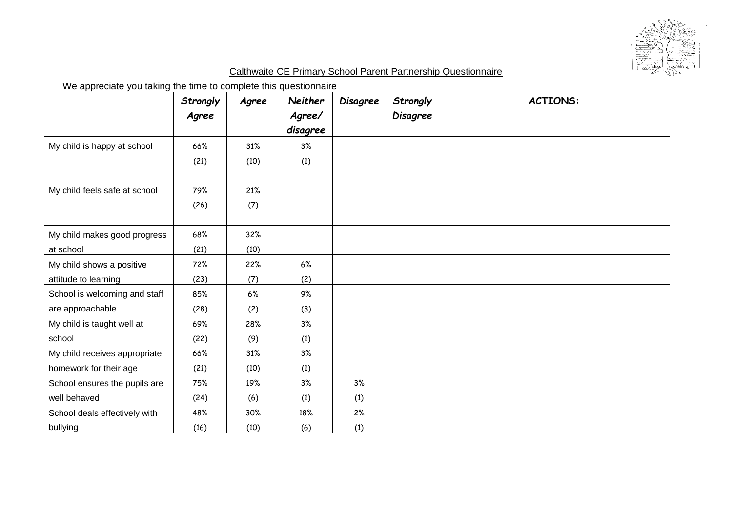

## Calthwaite CE Primary School Parent Partnership Questionnaire

We appreciate you taking the time to complete this questionnaire

|                               | Strongly | Agree | <b>Neither</b> | <b>Disagree</b> | Strongly        | <b>ACTIONS:</b> |
|-------------------------------|----------|-------|----------------|-----------------|-----------------|-----------------|
|                               | Agree    |       | Agree/         |                 | <b>Disagree</b> |                 |
|                               |          |       | disagree       |                 |                 |                 |
| My child is happy at school   | 66%      | 31%   | 3%             |                 |                 |                 |
|                               | (21)     | (10)  | (1)            |                 |                 |                 |
|                               |          |       |                |                 |                 |                 |
| My child feels safe at school | 79%      | 21%   |                |                 |                 |                 |
|                               | (26)     | (7)   |                |                 |                 |                 |
|                               |          |       |                |                 |                 |                 |
| My child makes good progress  | 68%      | 32%   |                |                 |                 |                 |
| at school                     | (21)     | (10)  |                |                 |                 |                 |
| My child shows a positive     | 72%      | 22%   | 6%             |                 |                 |                 |
| attitude to learning          | (23)     | (7)   | (2)            |                 |                 |                 |
| School is welcoming and staff | 85%      | 6%    | 9%             |                 |                 |                 |
| are approachable              | (28)     | (2)   | (3)            |                 |                 |                 |
| My child is taught well at    | 69%      | 28%   | 3%             |                 |                 |                 |
| school                        | (22)     | (9)   | (1)            |                 |                 |                 |
| My child receives appropriate | 66%      | 31%   | 3%             |                 |                 |                 |
| homework for their age        | (21)     | (10)  | (1)            |                 |                 |                 |
| School ensures the pupils are | 75%      | 19%   | 3%             | 3%              |                 |                 |
| well behaved                  | (24)     | (6)   | (1)            | (1)             |                 |                 |
| School deals effectively with | 48%      | 30%   | 18%            | 2%              |                 |                 |
| bullying                      | (16)     | (10)  | (6)            | (1)             |                 |                 |